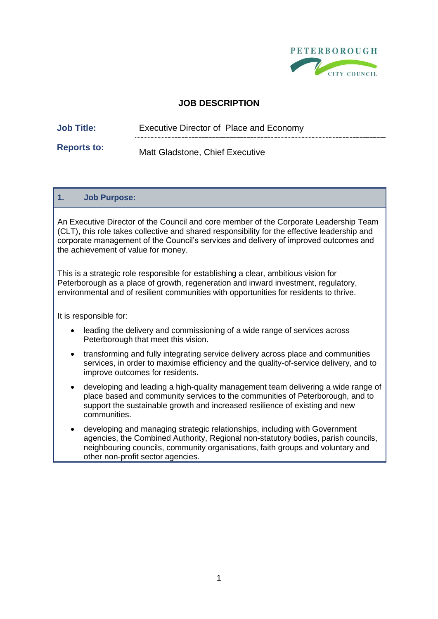

# **JOB DESCRIPTION**

| <b>Job Title:</b> | Executive Director of Place and Economy |  |
|-------------------|-----------------------------------------|--|
|                   |                                         |  |

**Reports to:** Matt Gladstone, Chief Executive

#### **1. Job Purpose:**

An Executive Director of the Council and core member of the Corporate Leadership Team (CLT), this role takes collective and shared responsibility for the effective leadership and corporate management of the Council's services and delivery of improved outcomes and the achievement of value for money.

This is a strategic role responsible for establishing a clear, ambitious vision for Peterborough as a place of growth, regeneration and inward investment, regulatory, environmental and of resilient communities with opportunities for residents to thrive.

It is responsible for:

- leading the delivery and commissioning of a wide range of services across Peterborough that meet this vision.
- transforming and fully integrating service delivery across place and communities services, in order to maximise efficiency and the quality-of-service delivery, and to improve outcomes for residents.
- developing and leading a high-quality management team delivering a wide range of place based and community services to the communities of Peterborough, and to support the sustainable growth and increased resilience of existing and new communities.
- developing and managing strategic relationships, including with Government agencies, the Combined Authority, Regional non-statutory bodies, parish councils, neighbouring councils, community organisations, faith groups and voluntary and other non-profit sector agencies.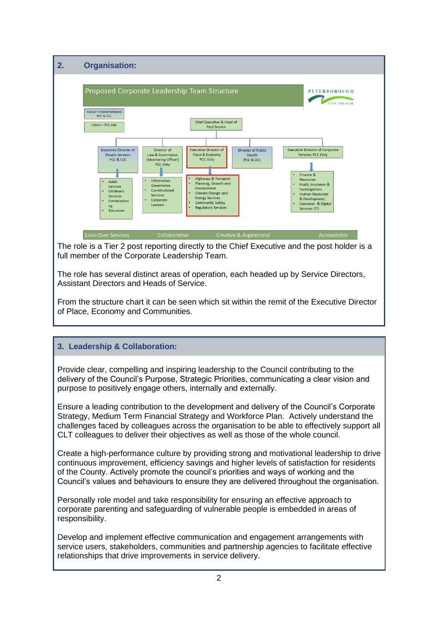

The role is a Tier 2 post reporting directly to the Chief Executive and the post holder is a full member of the Corporate Leadership Team.

The role has several distinct areas of operation, each headed up by Service Directors, Assistant Directors and Heads of Service.

From the structure chart it can be seen which sit within the remit of the Executive Director of Place, Economy and Communities.

## **3. Leadership & Collaboration:**

Provide clear, compelling and inspiring leadership to the Council contributing to the delivery of the Council's Purpose, Strategic Priorities, communicating a clear vision and purpose to positively engage others, internally and externally.

Ensure a leading contribution to the development and delivery of the Council's Corporate Strategy, Medium Term Financial Strategy and Workforce Plan. Actively understand the challenges faced by colleagues across the organisation to be able to effectively support all CLT colleagues to deliver their objectives as well as those of the whole council.

Create a high-performance culture by providing strong and motivational leadership to drive continuous improvement, efficiency savings and higher levels of satisfaction for residents of the County. Actively promote the council's priorities and ways of working and the Council's values and behaviours to ensure they are delivered throughout the organisation.

Personally role model and take responsibility for ensuring an effective approach to corporate parenting and safeguarding of vulnerable people is embedded in areas of responsibility.

Develop and implement effective communication and engagement arrangements with service users, stakeholders, communities and partnership agencies to facilitate effective relationships that drive improvements in service delivery.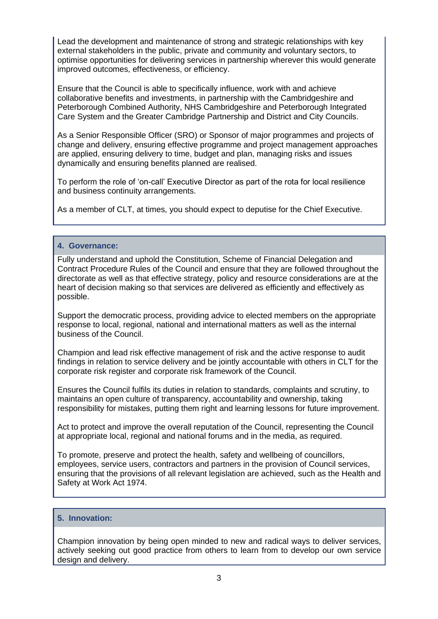Lead the development and maintenance of strong and strategic relationships with key external stakeholders in the public, private and community and voluntary sectors, to optimise opportunities for delivering services in partnership wherever this would generate improved outcomes, effectiveness, or efficiency.

Ensure that the Council is able to specifically influence, work with and achieve collaborative benefits and investments, in partnership with the Cambridgeshire and Peterborough Combined Authority, NHS Cambridgeshire and Peterborough Integrated Care System and the Greater Cambridge Partnership and District and City Councils.

As a Senior Responsible Officer (SRO) or Sponsor of major programmes and projects of change and delivery, ensuring effective programme and project management approaches are applied, ensuring delivery to time, budget and plan, managing risks and issues dynamically and ensuring benefits planned are realised.

To perform the role of 'on-call' Executive Director as part of the rota for local resilience and business continuity arrangements.

As a member of CLT, at times, you should expect to deputise for the Chief Executive.

#### **4. Governance:**

Fully understand and uphold the Constitution, Scheme of Financial Delegation and Contract Procedure Rules of the Council and ensure that they are followed throughout the directorate as well as that effective strategy, policy and resource considerations are at the heart of decision making so that services are delivered as efficiently and effectively as possible.

Support the democratic process, providing advice to elected members on the appropriate response to local, regional, national and international matters as well as the internal business of the Council.

Champion and lead risk effective management of risk and the active response to audit findings in relation to service delivery and be jointly accountable with others in CLT for the corporate risk register and corporate risk framework of the Council.

Ensures the Council fulfils its duties in relation to standards, complaints and scrutiny, to maintains an open culture of transparency, accountability and ownership, taking responsibility for mistakes, putting them right and learning lessons for future improvement.

Act to protect and improve the overall reputation of the Council, representing the Council at appropriate local, regional and national forums and in the media, as required.

To promote, preserve and protect the health, safety and wellbeing of councillors, employees, service users, contractors and partners in the provision of Council services, ensuring that the provisions of all relevant legislation are achieved, such as the Health and Safety at Work Act 1974.

#### **5. Innovation:**

Champion innovation by being open minded to new and radical ways to deliver services, actively seeking out good practice from others to learn from to develop our own service design and delivery.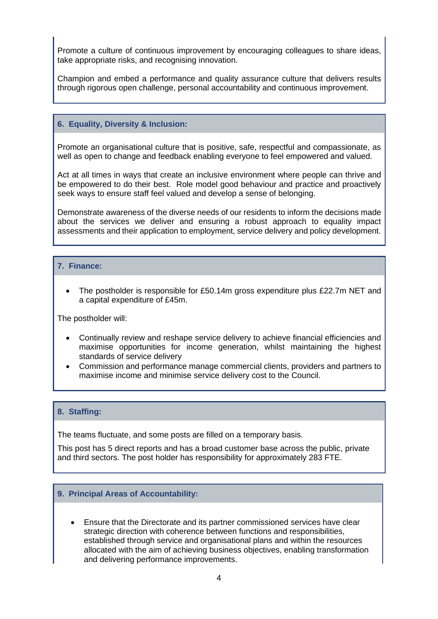Promote a culture of continuous improvement by encouraging colleagues to share ideas, take appropriate risks, and recognising innovation.

Champion and embed a performance and quality assurance culture that delivers results through rigorous open challenge, personal accountability and continuous improvement.

#### **6. Equality, Diversity & Inclusion:**

Promote an organisational culture that is positive, safe, respectful and compassionate, as well as open to change and feedback enabling everyone to feel empowered and valued.

Act at all times in ways that create an inclusive environment where people can thrive and be empowered to do their best. Role model good behaviour and practice and proactively seek ways to ensure staff feel valued and develop a sense of belonging.

Demonstrate awareness of the diverse needs of our residents to inform the decisions made about the services we deliver and ensuring a robust approach to equality impact assessments and their application to employment, service delivery and policy development.

#### **7. Finance:**

• The postholder is responsible for £50.14m gross expenditure plus £22.7m NET and a capital expenditure of £45m.

The postholder will:

- Continually review and reshape service delivery to achieve financial efficiencies and maximise opportunities for income generation, whilst maintaining the highest standards of service delivery
- Commission and performance manage commercial clients, providers and partners to maximise income and minimise service delivery cost to the Council.

#### **8. Staffing:**

The teams fluctuate, and some posts are filled on a temporary basis.

This post has 5 direct reports and has a broad customer base across the public, private and third sectors. The post holder has responsibility for approximately 283 FTE.

#### **9. Principal Areas of Accountability:**

• Ensure that the Directorate and its partner commissioned services have clear strategic direction with coherence between functions and responsibilities, established through service and organisational plans and within the resources allocated with the aim of achieving business objectives, enabling transformation and delivering performance improvements.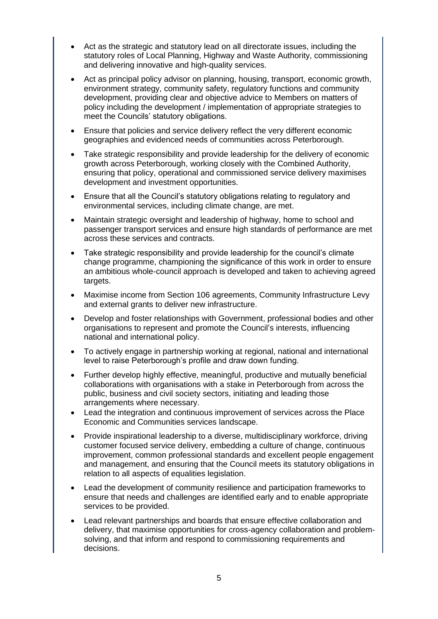- Act as the strategic and statutory lead on all directorate issues, including the statutory roles of Local Planning, Highway and Waste Authority, commissioning and delivering innovative and high-quality services.
- Act as principal policy advisor on planning, housing, transport, economic growth, environment strategy, community safety, regulatory functions and community development, providing clear and objective advice to Members on matters of policy including the development / implementation of appropriate strategies to meet the Councils' statutory obligations.
- Ensure that policies and service delivery reflect the very different economic geographies and evidenced needs of communities across Peterborough.
- Take strategic responsibility and provide leadership for the delivery of economic growth across Peterborough, working closely with the Combined Authority, ensuring that policy, operational and commissioned service delivery maximises development and investment opportunities.
- Ensure that all the Council's statutory obligations relating to regulatory and environmental services, including climate change, are met.
- Maintain strategic oversight and leadership of highway, home to school and passenger transport services and ensure high standards of performance are met across these services and contracts.
- Take strategic responsibility and provide leadership for the council's climate change programme, championing the significance of this work in order to ensure an ambitious whole-council approach is developed and taken to achieving agreed targets.
- Maximise income from Section 106 agreements, Community Infrastructure Levy and external grants to deliver new infrastructure.
- Develop and foster relationships with Government, professional bodies and other organisations to represent and promote the Council's interests, influencing national and international policy.
- To actively engage in partnership working at regional, national and international level to raise Peterborough's profile and draw down funding.
- Further develop highly effective, meaningful, productive and mutually beneficial collaborations with organisations with a stake in Peterborough from across the public, business and civil society sectors, initiating and leading those arrangements where necessary.
- Lead the integration and continuous improvement of services across the Place Economic and Communities services landscape.
- Provide inspirational leadership to a diverse, multidisciplinary workforce, driving customer focused service delivery, embedding a culture of change, continuous improvement, common professional standards and excellent people engagement and management, and ensuring that the Council meets its statutory obligations in relation to all aspects of equalities legislation.
- Lead the development of community resilience and participation frameworks to ensure that needs and challenges are identified early and to enable appropriate services to be provided.
- Lead relevant partnerships and boards that ensure effective collaboration and delivery, that maximise opportunities for cross-agency collaboration and problemsolving, and that inform and respond to commissioning requirements and decisions.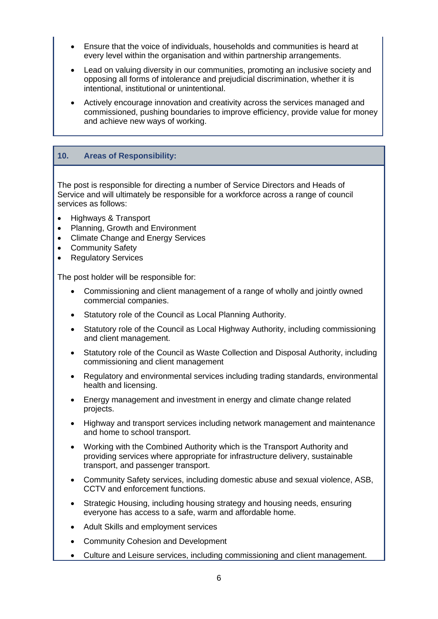- Ensure that the voice of individuals, households and communities is heard at every level within the organisation and within partnership arrangements.
- Lead on valuing diversity in our communities, promoting an inclusive society and opposing all forms of intolerance and prejudicial discrimination, whether it is intentional, institutional or unintentional.
- Actively encourage innovation and creativity across the services managed and commissioned, pushing boundaries to improve efficiency, provide value for money and achieve new ways of working.

#### **10. Areas of Responsibility:**

The post is responsible for directing a number of Service Directors and Heads of Service and will ultimately be responsible for a workforce across a range of council services as follows:

- Highways & Transport
- Planning, Growth and Environment
- Climate Change and Energy Services
- **Community Safety**
- Regulatory Services

The post holder will be responsible for:

- Commissioning and client management of a range of wholly and jointly owned commercial companies.
- Statutory role of the Council as Local Planning Authority.
- Statutory role of the Council as Local Highway Authority, including commissioning and client management.
- Statutory role of the Council as Waste Collection and Disposal Authority, including commissioning and client management
- Regulatory and environmental services including trading standards, environmental health and licensing.
- Energy management and investment in energy and climate change related projects.
- Highway and transport services including network management and maintenance and home to school transport.
- Working with the Combined Authority which is the Transport Authority and providing services where appropriate for infrastructure delivery, sustainable transport, and passenger transport.
- Community Safety services, including domestic abuse and sexual violence, ASB, CCTV and enforcement functions.
- Strategic Housing, including housing strategy and housing needs, ensuring everyone has access to a safe, warm and affordable home.
- Adult Skills and employment services
- Community Cohesion and Development
- Culture and Leisure services, including commissioning and client management.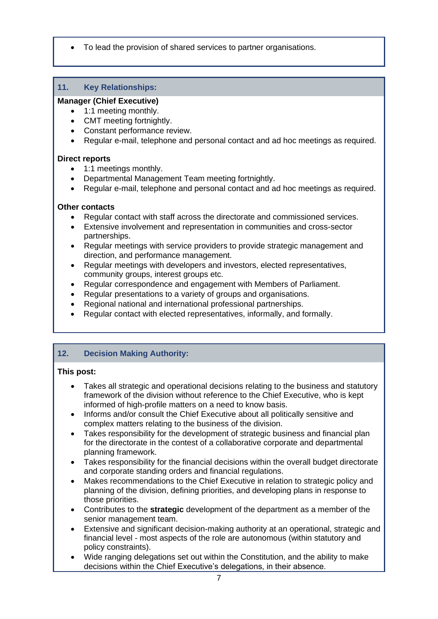• To lead the provision of shared services to partner organisations.

# **11. Key Relationships:**

# **Manager (Chief Executive)**

- 1:1 meeting monthly.
- CMT meeting fortnightly.
- Constant performance review.
- Regular e-mail, telephone and personal contact and ad hoc meetings as required.

## **Direct reports**

- 1:1 meetings monthly.
- Departmental Management Team meeting fortnightly.
- Regular e-mail, telephone and personal contact and ad hoc meetings as required.

# **Other contacts**

- Regular contact with staff across the directorate and commissioned services.
- Extensive involvement and representation in communities and cross-sector partnerships.
- Regular meetings with service providers to provide strategic management and direction, and performance management.
- Regular meetings with developers and investors, elected representatives, community groups, interest groups etc.
- Regular correspondence and engagement with Members of Parliament.
- Regular presentations to a variety of groups and organisations.
- Regional national and international professional partnerships.
- Regular contact with elected representatives, informally, and formally.

# **12. Decision Making Authority:**

## **This post:**

- Takes all strategic and operational decisions relating to the business and statutory framework of the division without reference to the Chief Executive, who is kept informed of high-profile matters on a need to know basis.
- Informs and/or consult the Chief Executive about all politically sensitive and complex matters relating to the business of the division.
- Takes responsibility for the development of strategic business and financial plan for the directorate in the contest of a collaborative corporate and departmental planning framework.
- Takes responsibility for the financial decisions within the overall budget directorate and corporate standing orders and financial regulations.
- Makes recommendations to the Chief Executive in relation to strategic policy and planning of the division, defining priorities, and developing plans in response to those priorities.
- Contributes to the **strategic** development of the department as a member of the senior management team.
- Extensive and significant decision-making authority at an operational, strategic and financial level - most aspects of the role are autonomous (within statutory and policy constraints).
- Wide ranging delegations set out within the Constitution, and the ability to make decisions within the Chief Executive's delegations, in their absence.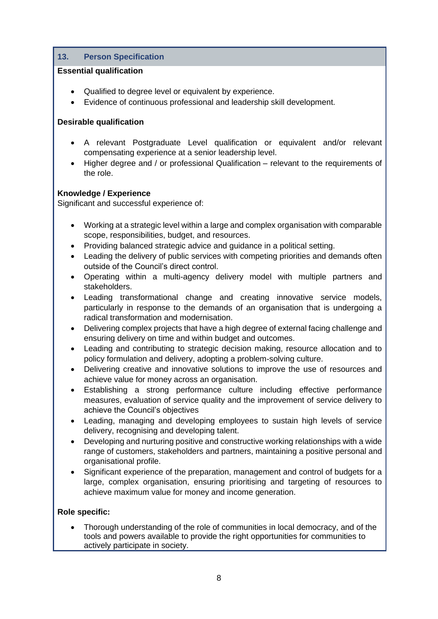# **13. Person Specification**

#### **Essential qualification**

- Qualified to degree level or equivalent by experience.
- Evidence of continuous professional and leadership skill development.

#### **Desirable qualification**

- A relevant Postgraduate Level qualification or equivalent and/or relevant compensating experience at a senior leadership level.
- Higher degree and / or professional Qualification relevant to the requirements of the role.

#### **Knowledge / Experience**

Significant and successful experience of:

- Working at a strategic level within a large and complex organisation with comparable scope, responsibilities, budget, and resources.
- Providing balanced strategic advice and guidance in a political setting.
- Leading the delivery of public services with competing priorities and demands often outside of the Council's direct control.
- Operating within a multi-agency delivery model with multiple partners and stakeholders.
- Leading transformational change and creating innovative service models, particularly in response to the demands of an organisation that is undergoing a radical transformation and modernisation.
- Delivering complex projects that have a high degree of external facing challenge and ensuring delivery on time and within budget and outcomes.
- Leading and contributing to strategic decision making, resource allocation and to policy formulation and delivery, adopting a problem-solving culture.
- Delivering creative and innovative solutions to improve the use of resources and achieve value for money across an organisation.
- Establishing a strong performance culture including effective performance measures, evaluation of service quality and the improvement of service delivery to achieve the Council's objectives
- Leading, managing and developing employees to sustain high levels of service delivery, recognising and developing talent.
- Developing and nurturing positive and constructive working relationships with a wide range of customers, stakeholders and partners, maintaining a positive personal and organisational profile.
- Significant experience of the preparation, management and control of budgets for a large, complex organisation, ensuring prioritising and targeting of resources to achieve maximum value for money and income generation.

## **Role specific:**

• Thorough understanding of the role of communities in local democracy, and of the tools and powers available to provide the right opportunities for communities to actively participate in society.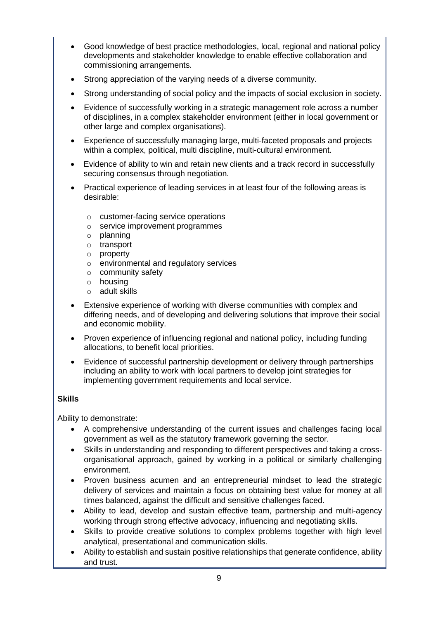- Good knowledge of best practice methodologies, local, regional and national policy developments and stakeholder knowledge to enable effective collaboration and commissioning arrangements.
- Strong appreciation of the varying needs of a diverse community.
- Strong understanding of social policy and the impacts of social exclusion in society.
- Evidence of successfully working in a strategic management role across a number of disciplines, in a complex stakeholder environment (either in local government or other large and complex organisations).
- Experience of successfully managing large, multi-faceted proposals and projects within a complex, political, multi discipline, multi-cultural environment.
- Evidence of ability to win and retain new clients and a track record in successfully securing consensus through negotiation.
- Practical experience of leading services in at least four of the following areas is desirable:
	- o customer-facing service operations
	- o service improvement programmes
	- o planning
	- o transport
	- o property
	- o environmental and regulatory services
	- o community safety
	- o housing
	- o adult skills
- Extensive experience of working with diverse communities with complex and differing needs, and of developing and delivering solutions that improve their social and economic mobility.
- Proven experience of influencing regional and national policy, including funding allocations, to benefit local priorities.
- Evidence of successful partnership development or delivery through partnerships including an ability to work with local partners to develop joint strategies for implementing government requirements and local service.

## **Skills**

Ability to demonstrate:

- A comprehensive understanding of the current issues and challenges facing local government as well as the statutory framework governing the sector.
- Skills in understanding and responding to different perspectives and taking a crossorganisational approach, gained by working in a political or similarly challenging environment.
- Proven business acumen and an entrepreneurial mindset to lead the strategic delivery of services and maintain a focus on obtaining best value for money at all times balanced, against the difficult and sensitive challenges faced.
- Ability to lead, develop and sustain effective team, partnership and multi-agency working through strong effective advocacy, influencing and negotiating skills.
- Skills to provide creative solutions to complex problems together with high level analytical, presentational and communication skills.
- Ability to establish and sustain positive relationships that generate confidence, ability and trust.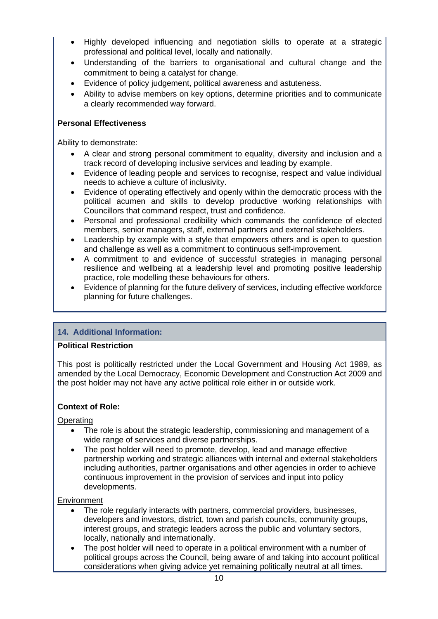- Highly developed influencing and negotiation skills to operate at a strategic professional and political level, locally and nationally.
- Understanding of the barriers to organisational and cultural change and the commitment to being a catalyst for change.
- Evidence of policy judgement, political awareness and astuteness.
- Ability to advise members on key options, determine priorities and to communicate a clearly recommended way forward.

## **Personal Effectiveness**

Ability to demonstrate:

- A clear and strong personal commitment to equality, diversity and inclusion and a track record of developing inclusive services and leading by example.
- Evidence of leading people and services to recognise, respect and value individual needs to achieve a culture of inclusivity.
- Evidence of operating effectively and openly within the democratic process with the political acumen and skills to develop productive working relationships with Councillors that command respect, trust and confidence.
- Personal and professional credibility which commands the confidence of elected members, senior managers, staff, external partners and external stakeholders.
- Leadership by example with a style that empowers others and is open to question and challenge as well as a commitment to continuous self-improvement.
- A commitment to and evidence of successful strategies in managing personal resilience and wellbeing at a leadership level and promoting positive leadership practice, role modelling these behaviours for others.
- Evidence of planning for the future delivery of services, including effective workforce planning for future challenges.

# **14. Additional Information:**

## **Political Restriction**

This post is politically restricted under the Local Government and Housing Act 1989, as amended by the Local Democracy, Economic Development and Construction Act 2009 and the post holder may not have any active political role either in or outside work.

## **Context of Role:**

**Operating** 

- The role is about the strategic leadership, commissioning and management of a wide range of services and diverse partnerships.
- The post holder will need to promote, develop, lead and manage effective partnership working and strategic alliances with internal and external stakeholders including authorities, partner organisations and other agencies in order to achieve continuous improvement in the provision of services and input into policy developments.

## **Environment**

- The role regularly interacts with partners, commercial providers, businesses, developers and investors, district, town and parish councils, community groups, interest groups, and strategic leaders across the public and voluntary sectors, locally, nationally and internationally.
- The post holder will need to operate in a political environment with a number of political groups across the Council, being aware of and taking into account political considerations when giving advice yet remaining politically neutral at all times.